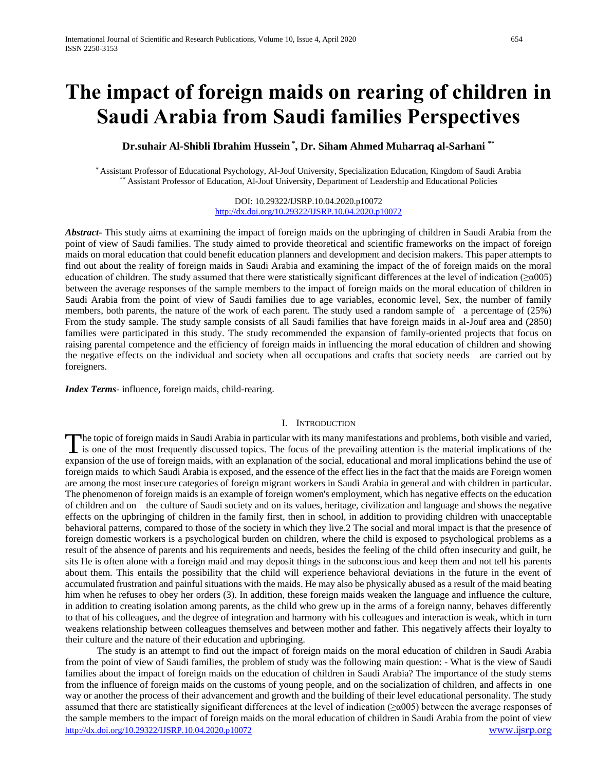# **The impact of foreign maids on rearing of children in Saudi Arabia from Saudi families Perspectives**

# **Dr.suhair Al-Shibli Ibrahim Hussein \* , Dr. Siham Ahmed Muharraq al-Sarhani \*\***

\* Assistant Professor of Educational Psychology, Al-Jouf University, Specialization Education, Kingdom of Saudi Arabia \*\* Assistant Professor of Education, Al-Jouf University, Department of Leadership and Educational Policies

> DOI: 10.29322/IJSRP.10.04.2020.p10072 <http://dx.doi.org/10.29322/IJSRP.10.04.2020.p10072>

*Abstract***-** This study aims at examining the impact of foreign maids on the upbringing of children in Saudi Arabia from the point of view of Saudi families. The study aimed to provide theoretical and scientific frameworks on the impact of foreign maids on moral education that could benefit education planners and development and decision makers. This paper attempts to find out about the reality of foreign maids in Saudi Arabia and examining the impact of the of foreign maids on the moral education of children. The study assumed that there were statistically significant differences at the level of indication (≥α005) between the average responses of the sample members to the impact of foreign maids on the moral education of children in Saudi Arabia from the point of view of Saudi families due to age variables, economic level, Sex, the number of family members, both parents, the nature of the work of each parent. The study used a random sample of a percentage of (25%) From the study sample. The study sample consists of all Saudi families that have foreign maids in al-Jouf area and (2850) families were participated in this study. The study recommended the expansion of family-oriented projects that focus on raising parental competence and the efficiency of foreign maids in influencing the moral education of children and showing the negative effects on the individual and society when all occupations and crafts that society needs are carried out by foreigners.

*Index Terms*- influence, foreign maids, child-rearing.

### I. INTRODUCTION

he topic of foreign maids in Saudi Arabia in particular with its many manifestations and problems, both visible and varied, The topic of foreign maids in Saudi Arabia in particular with its many manifestations and problems, both visible and varied, is one of the most frequently discussed topics. The focus of the prevailing attention is the mate expansion of the use of foreign maids, with an explanation of the social, educational and moral implications behind the use of foreign maids to which Saudi Arabia is exposed, and the essence of the effect lies in the fact that the maids are Foreign women are among the most insecure categories of foreign migrant workers in Saudi Arabia in general and with children in particular. The phenomenon of foreign maids is an example of foreign women's employment, which has negative effects on the education of children and on the culture of Saudi society and on its values, heritage, civilization and language and shows the negative effects on the upbringing of children in the family first, then in school, in addition to providing children with unacceptable behavioral patterns, compared to those of the society in which they live.2 The social and moral impact is that the presence of foreign domestic workers is a psychological burden on children, where the child is exposed to psychological problems as a result of the absence of parents and his requirements and needs, besides the feeling of the child often insecurity and guilt, he sits He is often alone with a foreign maid and may deposit things in the subconscious and keep them and not tell his parents about them. This entails the possibility that the child will experience behavioral deviations in the future in the event of accumulated frustration and painful situations with the maids. He may also be physically abused as a result of the maid beating him when he refuses to obey her orders (3). In addition, these foreign maids weaken the language and influence the culture, in addition to creating isolation among parents, as the child who grew up in the arms of a foreign nanny, behaves differently to that of his colleagues, and the degree of integration and harmony with his colleagues and interaction is weak, which in turn weakens relationship between colleagues themselves and between mother and father. This negatively affects their loyalty to their culture and the nature of their education and upbringing.

<http://dx.doi.org/10.29322/IJSRP.10.04.2020.p10072> [www.ijsrp.org](http://ijsrp.org/) The study is an attempt to find out the impact of foreign maids on the moral education of children in Saudi Arabia from the point of view of Saudi families, the problem of study was the following main question: - What is the view of Saudi families about the impact of foreign maids on the education of children in Saudi Arabia? The importance of the study stems from the influence of foreign maids on the customs of young people, and on the socialization of children, and affects in one way or another the process of their advancement and growth and the building of their level educational personality. The study assumed that there are statistically significant differences at the level of indication (≥α005) between the average responses of the sample members to the impact of foreign maids on the moral education of children in Saudi Arabia from the point of view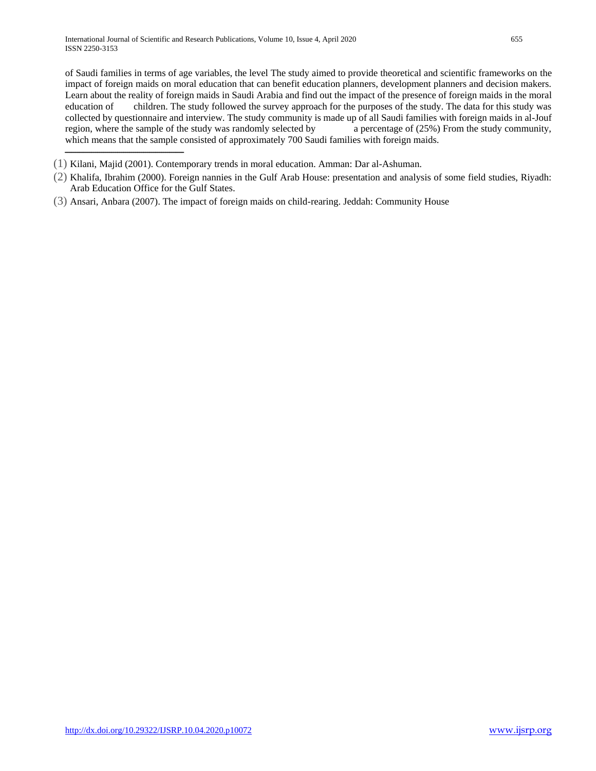ـــــــــــــــــــــــــــــــــــــــــــــــــــــــــــ

of Saudi families in terms of age variables, the level The study aimed to provide theoretical and scientific frameworks on the impact of foreign maids on moral education that can benefit education planners, development planners and decision makers. Learn about the reality of foreign maids in Saudi Arabia and find out the impact of the presence of foreign maids in the moral education of children. The study followed the survey approach for the purposes of the study. The data for this study was collected by questionnaire and interview. The study community is made up of all Saudi families with foreign maids in al-Jouf region, where the sample of the study was randomly selected by a percentage of (25%) From the study community, which means that the sample consisted of approximately 700 Saudi families with foreign maids.

- (1) Kilani, Majid (2001). Contemporary trends in moral education. Amman: Dar al-Ashuman.
- (2) Khalifa, Ibrahim (2000). Foreign nannies in the Gulf Arab House: presentation and analysis of some field studies, Riyadh: Arab Education Office for the Gulf States.
- (3) Ansari, Anbara (2007). The impact of foreign maids on child-rearing. Jeddah: Community House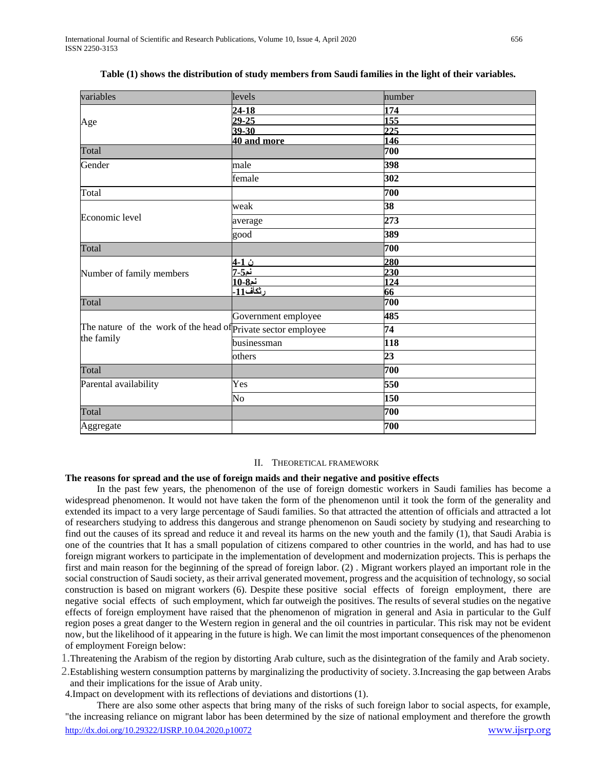| variables                                                     | levels              | number          |
|---------------------------------------------------------------|---------------------|-----------------|
|                                                               |                     |                 |
|                                                               | $24 - 18$           | 174             |
| Age                                                           | $29 - 25$           | 155             |
|                                                               | $39 - 30$           | 225             |
|                                                               | 40 and more         | 146             |
| Total                                                         |                     | 700             |
| Gender                                                        | male                | 398             |
|                                                               | female              | 302             |
| Total                                                         |                     | 700             |
|                                                               | weak                | 38              |
| Economic level                                                | average             | 273             |
|                                                               | good                | 389             |
| Total                                                         |                     | 700             |
|                                                               | ن 1-4               | 280             |
| Number of family members                                      |                     | 230             |
|                                                               |                     | 124             |
|                                                               |                     | 66              |
| Total                                                         |                     | 700             |
|                                                               | Government employee | 485             |
| The nature of the work of the head of private sector employee |                     | 74              |
| the family                                                    | businessman         | 118             |
|                                                               | others              | $\overline{23}$ |
| Total                                                         |                     | 700             |
| Parental availability                                         | Yes                 | 550             |
|                                                               | No                  | 150             |
| Total                                                         |                     | 700             |
| Aggregate                                                     |                     | 700             |

|  |  | Table (1) shows the distribution of study members from Saudi families in the light of their variables. |
|--|--|--------------------------------------------------------------------------------------------------------|
|  |  |                                                                                                        |

#### II. THEORETICAL FRAMEWORK

### **The reasons for spread and the use of foreign maids and their negative and positive effects**

 In the past few years, the phenomenon of the use of foreign domestic workers in Saudi families has become a widespread phenomenon. It would not have taken the form of the phenomenon until it took the form of the generality and extended its impact to a very large percentage of Saudi families. So that attracted the attention of officials and attracted a lot of researchers studying to address this dangerous and strange phenomenon on Saudi society by studying and researching to find out the causes of its spread and reduce it and reveal its harms on the new youth and the family (1), that Saudi Arabia is one of the countries that It has a small population of citizens compared to other countries in the world, and has had to use foreign migrant workers to participate in the implementation of development and modernization projects. This is perhaps the first and main reason for the beginning of the spread of foreign labor. (2) . Migrant workers played an important role in the social construction of Saudi society, as their arrival generated movement, progress and the acquisition of technology, so social construction is based on migrant workers (6). Despite these positive social effects of foreign employment, there are negative social effects of such employment, which far outweigh the positives. The results of several studies on the negative effects of foreign employment have raised that the phenomenon of migration in general and Asia in particular to the Gulf region poses a great danger to the Western region in general and the oil countries in particular. This risk may not be evident now, but the likelihood of it appearing in the future is high. We can limit the most important consequences of the phenomenon of employment Foreign below:

1.Threatening the Arabism of the region by distorting Arab culture, such as the disintegration of the family and Arab society.

2.Establishing western consumption patterns by marginalizing the productivity of society. 3.Increasing the gap between Arabs and their implications for the issue of Arab unity.

4.Impact on development with its reflections of deviations and distortions (1).

<http://dx.doi.org/10.29322/IJSRP.10.04.2020.p10072> [www.ijsrp.org](http://ijsrp.org/) There are also some other aspects that bring many of the risks of such foreign labor to social aspects, for example, "the increasing reliance on migrant labor has been determined by the size of national employment and therefore the growth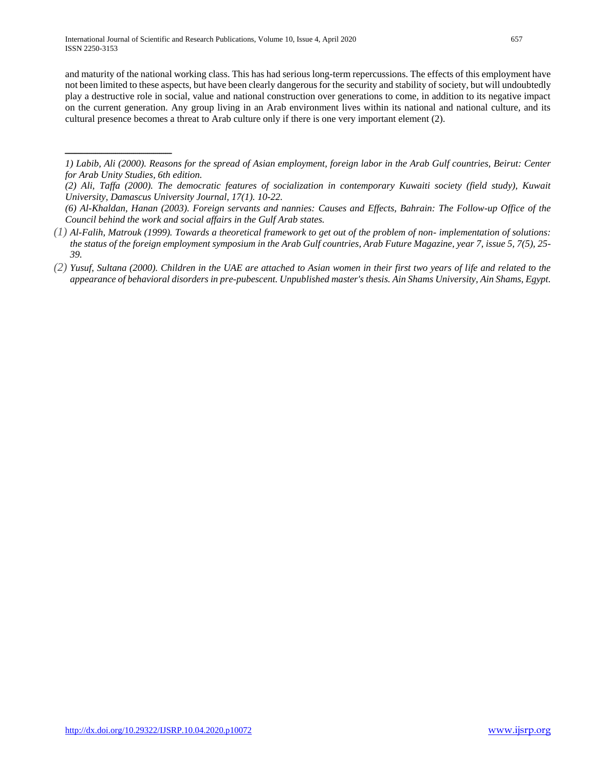ـــــــــــــــــــــــــــــــــــــــــــــــــــــ

and maturity of the national working class. This has had serious long-term repercussions. The effects of this employment have not been limited to these aspects, but have been clearly dangerous for the security and stability of society, but will undoubtedly play a destructive role in social, value and national construction over generations to come, in addition to its negative impact on the current generation. Any group living in an Arab environment lives within its national and national culture, and its cultural presence becomes a threat to Arab culture only if there is one very important element (2).

- *(1) Al-Falih, Matrouk (1999). Towards a theoretical framework to get out of the problem of non- implementation of solutions: the status of the foreign employment symposium in the Arab Gulf countries, Arab Future Magazine, year 7, issue 5, 7(5), 25- 39.*
- *(2) Yusuf, Sultana (2000). Children in the UAE are attached to Asian women in their first two years of life and related to the appearance of behavioral disorders in pre-pubescent. Unpublished master's thesis. Ain Shams University, Ain Shams, Egypt.*

*<sup>1)</sup> Labib, Ali (2000). Reasons for the spread of Asian employment, foreign labor in the Arab Gulf countries, Beirut: Center for Arab Unity Studies, 6th edition.*

*<sup>(2)</sup> Ali, Taffa (2000). The democratic features of socialization in contemporary Kuwaiti society (field study), Kuwait University, Damascus University Journal, 17(1). 10-22.*

*<sup>(6)</sup> Al-Khaldan, Hanan (2003). Foreign servants and nannies: Causes and Effects, Bahrain: The Follow-up Office of the Council behind the work and social affairs in the Gulf Arab states.*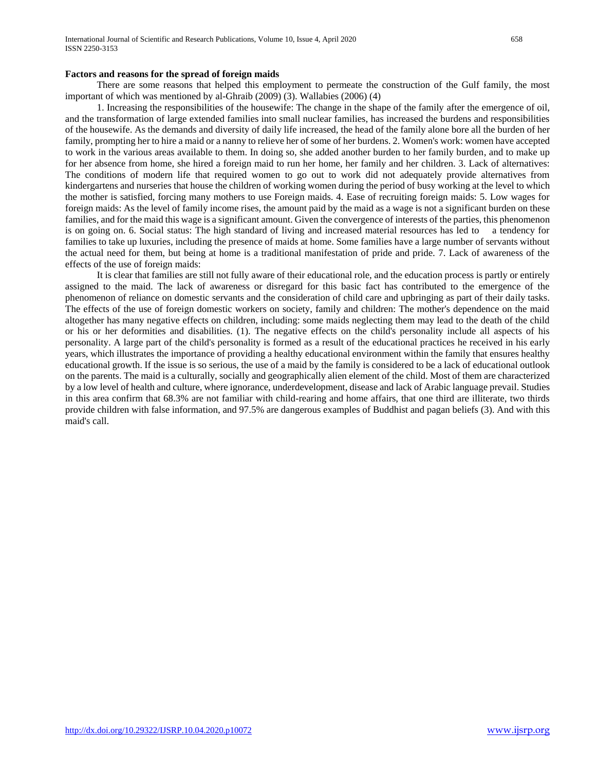### **Factors and reasons for the spread of foreign maids**

 There are some reasons that helped this employment to permeate the construction of the Gulf family, the most important of which was mentioned by al-Ghraib (2009) (3). Wallabies (2006) (4)

 1. Increasing the responsibilities of the housewife: The change in the shape of the family after the emergence of oil, and the transformation of large extended families into small nuclear families, has increased the burdens and responsibilities of the housewife. As the demands and diversity of daily life increased, the head of the family alone bore all the burden of her family, prompting her to hire a maid or a nanny to relieve her of some of her burdens. 2. Women's work: women have accepted to work in the various areas available to them. In doing so, she added another burden to her family burden, and to make up for her absence from home, she hired a foreign maid to run her home, her family and her children. 3. Lack of alternatives: The conditions of modern life that required women to go out to work did not adequately provide alternatives from kindergartens and nurseries that house the children of working women during the period of busy working at the level to which the mother is satisfied, forcing many mothers to use Foreign maids. 4. Ease of recruiting foreign maids: 5. Low wages for foreign maids: As the level of family income rises, the amount paid by the maid as a wage is not a significant burden on these families, and for the maid this wage is a significant amount. Given the convergence of interests of the parties, this phenomenon is on going on. 6. Social status: The high standard of living and increased material resources has led to a tendency for families to take up luxuries, including the presence of maids at home. Some families have a large number of servants without the actual need for them, but being at home is a traditional manifestation of pride and pride. 7. Lack of awareness of the effects of the use of foreign maids:

 It is clear that families are still not fully aware of their educational role, and the education process is partly or entirely assigned to the maid. The lack of awareness or disregard for this basic fact has contributed to the emergence of the phenomenon of reliance on domestic servants and the consideration of child care and upbringing as part of their daily tasks. The effects of the use of foreign domestic workers on society, family and children: The mother's dependence on the maid altogether has many negative effects on children, including: some maids neglecting them may lead to the death of the child or his or her deformities and disabilities. (1). The negative effects on the child's personality include all aspects of his personality. A large part of the child's personality is formed as a result of the educational practices he received in his early years, which illustrates the importance of providing a healthy educational environment within the family that ensures healthy educational growth. If the issue is so serious, the use of a maid by the family is considered to be a lack of educational outlook on the parents. The maid is a culturally, socially and geographically alien element of the child. Most of them are characterized by a low level of health and culture, where ignorance, underdevelopment, disease and lack of Arabic language prevail. Studies in this area confirm that 68.3% are not familiar with child-rearing and home affairs, that one third are illiterate, two thirds provide children with false information, and 97.5% are dangerous examples of Buddhist and pagan beliefs (3). And with this maid's call.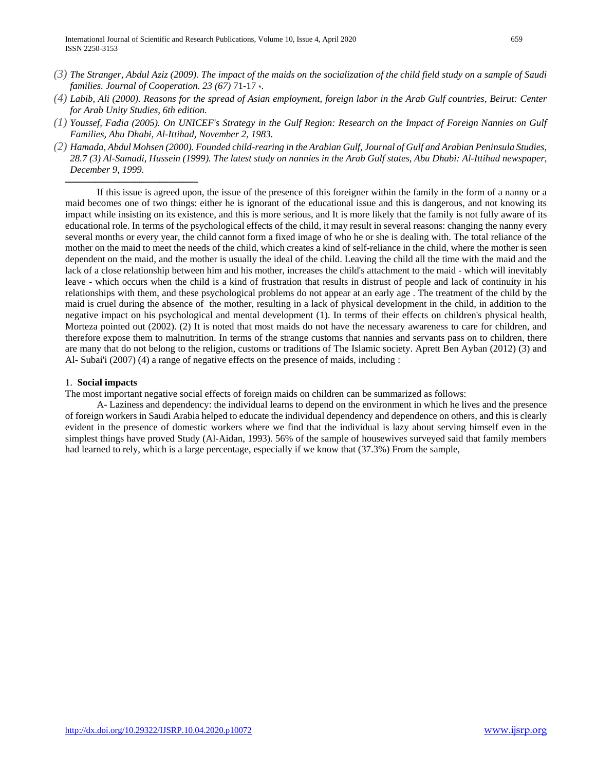- *(3) The Stranger, Abdul Aziz (2009). The impact of the maids on the socialization of the child field study on a sample of Saudi families. Journal of Cooperation. 23 (67)* 71-17 ،*.*
- *(4) Labib, Ali (2000). Reasons for the spread of Asian employment, foreign labor in the Arab Gulf countries, Beirut: Center for Arab Unity Studies, 6th edition.*
- *(1) Youssef, Fadia (2005). On UNICEF's Strategy in the Gulf Region: Research on the Impact of Foreign Nannies on Gulf Families, Abu Dhabi, Al-Ittihad, November 2, 1983.*
- *(2) Hamada, Abdul Mohsen (2000). Founded child-rearing in the Arabian Gulf, Journal of Gulf and Arabian Peninsula Studies, 28.7 (3) Al-Samadi, Hussein (1999). The latest study on nannies in the Arab Gulf states, Abu Dhabi: Al-Ittihad newspaper, December 9, 1999.*

 If this issue is agreed upon, the issue of the presence of this foreigner within the family in the form of a nanny or a maid becomes one of two things: either he is ignorant of the educational issue and this is dangerous, and not knowing its impact while insisting on its existence, and this is more serious, and It is more likely that the family is not fully aware of its educational role. In terms of the psychological effects of the child, it may result in several reasons: changing the nanny every several months or every year, the child cannot form a fixed image of who he or she is dealing with. The total reliance of the mother on the maid to meet the needs of the child, which creates a kind of self-reliance in the child, where the mother is seen dependent on the maid, and the mother is usually the ideal of the child. Leaving the child all the time with the maid and the lack of a close relationship between him and his mother, increases the child's attachment to the maid - which will inevitably leave - which occurs when the child is a kind of frustration that results in distrust of people and lack of continuity in his relationships with them, and these psychological problems do not appear at an early age . The treatment of the child by the maid is cruel during the absence of the mother, resulting in a lack of physical development in the child, in addition to the negative impact on his psychological and mental development (1). In terms of their effects on children's physical health, Morteza pointed out (2002). (2) It is noted that most maids do not have the necessary awareness to care for children, and therefore expose them to malnutrition. In terms of the strange customs that nannies and servants pass on to children, there are many that do not belong to the religion, customs or traditions of The Islamic society. Aprett Ben Ayban (2012) (3) and Al- Subai'i (2007) (4) a range of negative effects on the presence of maids, including :

## 1. **Social impacts**

ــــــــــــــــــــــــــــــــــــــــــــــــــــــــــــــــــ

The most important negative social effects of foreign maids on children can be summarized as follows:

 A- Laziness and dependency: the individual learns to depend on the environment in which he lives and the presence of foreign workers in Saudi Arabia helped to educate the individual dependency and dependence on others, and this is clearly evident in the presence of domestic workers where we find that the individual is lazy about serving himself even in the simplest things have proved Study (Al-Aidan, 1993). 56% of the sample of housewives surveyed said that family members had learned to rely, which is a large percentage, especially if we know that  $(37.3%)$  From the sample,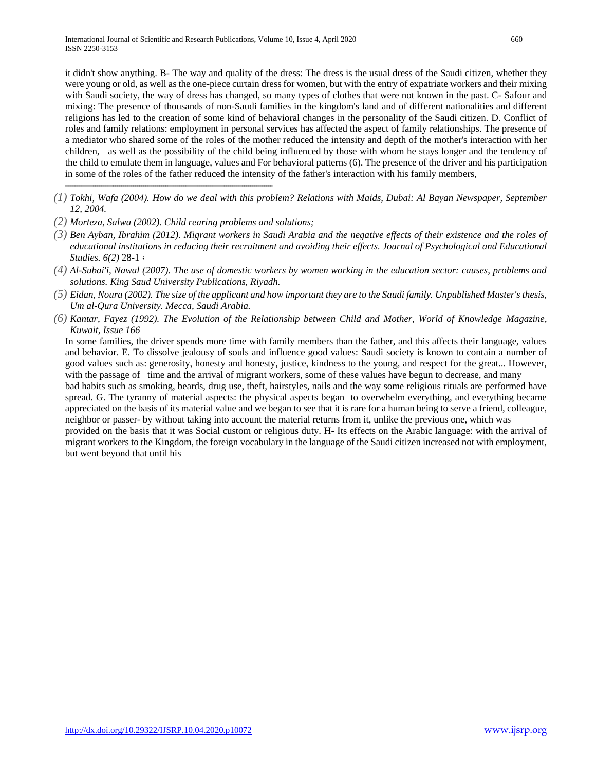it didn't show anything. B- The way and quality of the dress: The dress is the usual dress of the Saudi citizen, whether they were young or old, as well as the one-piece curtain dress for women, but with the entry of expatriate workers and their mixing with Saudi society, the way of dress has changed, so many types of clothes that were not known in the past. C- Safour and mixing: The presence of thousands of non-Saudi families in the kingdom's land and of different nationalities and different religions has led to the creation of some kind of behavioral changes in the personality of the Saudi citizen. D. Conflict of roles and family relations: employment in personal services has affected the aspect of family relationships. The presence of a mediator who shared some of the roles of the mother reduced the intensity and depth of the mother's interaction with her children, as well as the possibility of the child being influenced by those with whom he stays longer and the tendency of the child to emulate them in language, values and For behavioral patterns (6). The presence of the driver and his participation in some of the roles of the father reduced the intensity of the father's interaction with his family members,

- *(1) Tokhi, Wafa (2004). How do we deal with this problem? Relations with Maids, Dubai: Al Bayan Newspaper, September 12, 2004.*
- *(2) Morteza, Salwa (2002). Child rearing problems and solutions;*

ـــــــــــــــــــــــــــــــــــــــــــــــــــــــــــــــــــــــــــــــــــــــــــــــــــــــ

- *(3) Ben Ayban, Ibrahim (2012). Migrant workers in Saudi Arabia and the negative effects of their existence and the roles of educational institutions in reducing their recruitment and avoiding their effects. Journal of Psychological and Educational Studies. 6(2)* 28-1 ،
- *(4) Al-Subai'i, Nawal (2007). The use of domestic workers by women working in the education sector: causes, problems and solutions. King Saud University Publications, Riyadh.*
- *(5) Eidan, Noura (2002). The size of the applicant and how important they are to the Saudi family. Unpublished Master's thesis, Um al-Qura University. Mecca, Saudi Arabia.*
- *(6) Kantar, Fayez (1992). The Evolution of the Relationship between Child and Mother, World of Knowledge Magazine, Kuwait, Issue 166*

In some families, the driver spends more time with family members than the father, and this affects their language, values and behavior. E. To dissolve jealousy of souls and influence good values: Saudi society is known to contain a number of good values such as: generosity, honesty and honesty, justice, kindness to the young, and respect for the great... However, with the passage of time and the arrival of migrant workers, some of these values have begun to decrease, and many

bad habits such as smoking, beards, drug use, theft, hairstyles, nails and the way some religious rituals are performed have spread. G. The tyranny of material aspects: the physical aspects began to overwhelm everything, and everything became appreciated on the basis of its material value and we began to see that it is rare for a human being to serve a friend, colleague, neighbor or passer- by without taking into account the material returns from it, unlike the previous one, which was

provided on the basis that it was Social custom or religious duty. H- Its effects on the Arabic language: with the arrival of migrant workers to the Kingdom, the foreign vocabulary in the language of the Saudi citizen increased not with employment, but went beyond that until his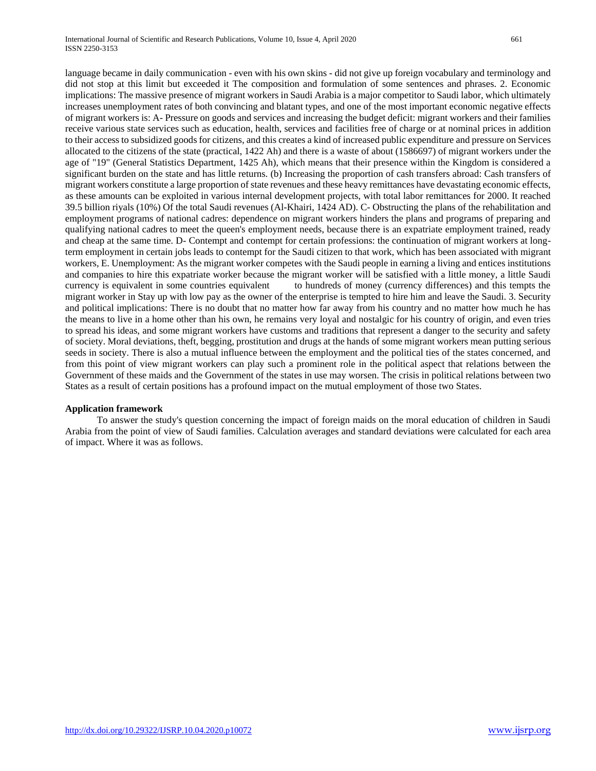language became in daily communication - even with his own skins - did not give up foreign vocabulary and terminology and did not stop at this limit but exceeded it The composition and formulation of some sentences and phrases. 2. Economic implications: The massive presence of migrant workers in Saudi Arabia is a major competitor to Saudi labor, which ultimately increases unemployment rates of both convincing and blatant types, and one of the most important economic negative effects of migrant workers is: A- Pressure on goods and services and increasing the budget deficit: migrant workers and their families receive various state services such as education, health, services and facilities free of charge or at nominal prices in addition to their access to subsidized goods for citizens, and this creates a kind of increased public expenditure and pressure on Services allocated to the citizens of the state (practical, 1422 Ah) and there is a waste of about (1586697) of migrant workers under the age of "19" (General Statistics Department, 1425 Ah), which means that their presence within the Kingdom is considered a significant burden on the state and has little returns. (b) Increasing the proportion of cash transfers abroad: Cash transfers of migrant workers constitute a large proportion of state revenues and these heavy remittances have devastating economic effects, as these amounts can be exploited in various internal development projects, with total labor remittances for 2000. It reached 39.5 billion riyals (10%) Of the total Saudi revenues (Al-Khairi, 1424 AD). C- Obstructing the plans of the rehabilitation and employment programs of national cadres: dependence on migrant workers hinders the plans and programs of preparing and qualifying national cadres to meet the queen's employment needs, because there is an expatriate employment trained, ready and cheap at the same time. D- Contempt and contempt for certain professions: the continuation of migrant workers at longterm employment in certain jobs leads to contempt for the Saudi citizen to that work, which has been associated with migrant workers, E. Unemployment: As the migrant worker competes with the Saudi people in earning a living and entices institutions and companies to hire this expatriate worker because the migrant worker will be satisfied with a little money, a little Saudi currency is equivalent in some countries equivalent to hundreds of money (currency differences) and this tempts the migrant worker in Stay up with low pay as the owner of the enterprise is tempted to hire him and leave the Saudi. 3. Security and political implications: There is no doubt that no matter how far away from his country and no matter how much he has the means to live in a home other than his own, he remains very loyal and nostalgic for his country of origin, and even tries to spread his ideas, and some migrant workers have customs and traditions that represent a danger to the security and safety of society. Moral deviations, theft, begging, prostitution and drugs at the hands of some migrant workers mean putting serious seeds in society. There is also a mutual influence between the employment and the political ties of the states concerned, and from this point of view migrant workers can play such a prominent role in the political aspect that relations between the Government of these maids and the Government of the states in use may worsen. The crisis in political relations between two States as a result of certain positions has a profound impact on the mutual employment of those two States.

### **Application framework**

 To answer the study's question concerning the impact of foreign maids on the moral education of children in Saudi Arabia from the point of view of Saudi families. Calculation averages and standard deviations were calculated for each area of impact. Where it was as follows.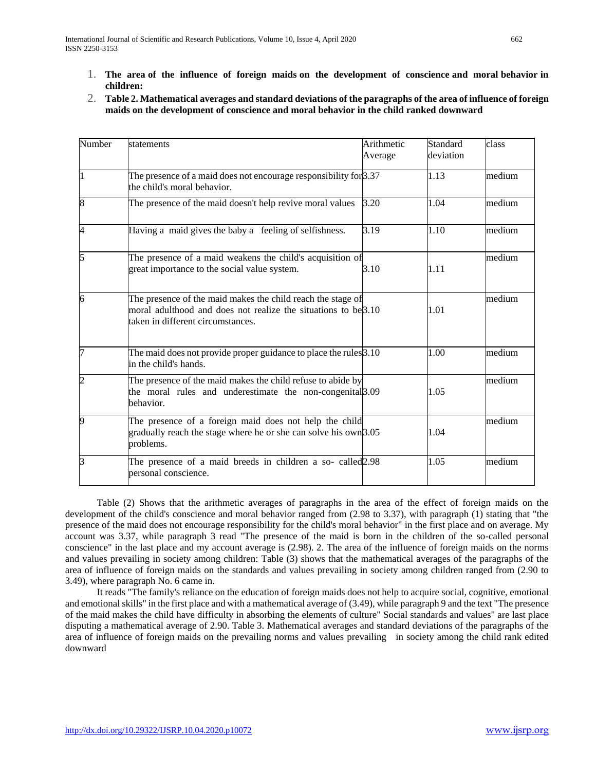- 1. **The area of the influence of foreign maids on the development of conscience and moral behavior in children:**
- 2. **Table 2. Mathematical averages and standard deviations of the paragraphs of the area of influence of foreign maids on the development of conscience and moral behavior in the child ranked downward**

| Number         | statements                                                                                                                                                         | Arithmetic<br>Average | Standard<br>deviation | class  |
|----------------|--------------------------------------------------------------------------------------------------------------------------------------------------------------------|-----------------------|-----------------------|--------|
|                | The presence of a maid does not encourage responsibility for $3.37$<br>the child's moral behavior.                                                                 |                       | 1.13                  | medium |
| 8              | The presence of the maid doesn't help revive moral values                                                                                                          | 3.20                  | 1.04                  | medium |
| 4              | Having a maid gives the baby a feeling of selfishness.                                                                                                             | 3.19                  | 1.10                  | medium |
| 5              | The presence of a maid weakens the child's acquisition of<br>great importance to the social value system.                                                          | 3.10                  | 1.11                  | medium |
| 6              | The presence of the maid makes the child reach the stage of<br>moral adulthood and does not realize the situations to be 3.10<br>taken in different circumstances. |                       | 1.01                  | medium |
|                | The maid does not provide proper guidance to place the rules 3.10<br>in the child's hands.                                                                         |                       | 1.00                  | medium |
| $\overline{c}$ | The presence of the maid makes the child refuse to abide by<br>the moral rules and underestimate the non-congenital <sup>[3,09</sup> ]<br>behavior.                |                       | 1.05                  | medium |
|                | The presence of a foreign maid does not help the child<br>gradually reach the stage where he or she can solve his own 3.05<br>problems.                            |                       | 1.04                  | medium |
| 3              | The presence of a maid breeds in children a so- called <sup>[2,98</sup> ]<br>personal conscience.                                                                  |                       | 1.05                  | medium |

 Table (2) Shows that the arithmetic averages of paragraphs in the area of the effect of foreign maids on the development of the child's conscience and moral behavior ranged from (2.98 to 3.37), with paragraph (1) stating that "the presence of the maid does not encourage responsibility for the child's moral behavior" in the first place and on average. My account was 3.37, while paragraph 3 read "The presence of the maid is born in the children of the so-called personal conscience" in the last place and my account average is (2.98). 2. The area of the influence of foreign maids on the norms and values prevailing in society among children: Table (3) shows that the mathematical averages of the paragraphs of the area of influence of foreign maids on the standards and values prevailing in society among children ranged from (2.90 to 3.49), where paragraph No. 6 came in.

 It reads "The family's reliance on the education of foreign maids does not help to acquire social, cognitive, emotional and emotional skills" in the first place and with a mathematical average of (3.49), while paragraph 9 and the text "The presence of the maid makes the child have difficulty in absorbing the elements of culture" Social standards and values" are last place disputing a mathematical average of 2.90. Table 3. Mathematical averages and standard deviations of the paragraphs of the area of influence of foreign maids on the prevailing norms and values prevailing in society among the child rank edited downward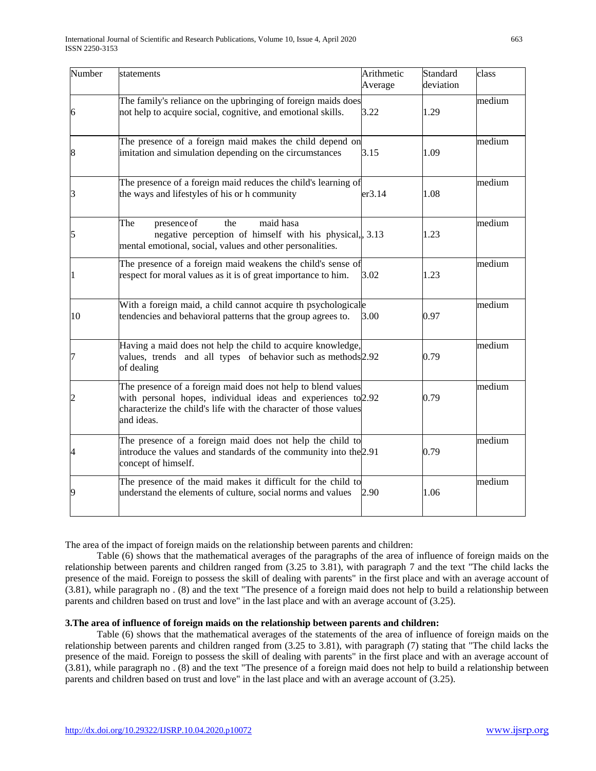| Number | statements                                                                                                                                                                                                      | Arithmetic<br>Average | Standard<br>deviation | class  |
|--------|-----------------------------------------------------------------------------------------------------------------------------------------------------------------------------------------------------------------|-----------------------|-----------------------|--------|
| 6      | The family's reliance on the upbringing of foreign maids does<br>not help to acquire social, cognitive, and emotional skills.                                                                                   | 3.22                  | 1.29                  | medium |
|        | The presence of a foreign maid makes the child depend on<br>imitation and simulation depending on the circumstances                                                                                             | 3.15                  | 1.09                  | medium |
| з      | The presence of a foreign maid reduces the child's learning of<br>the ways and lifestyles of his or h community                                                                                                 | er3.14                | 1.08                  | medium |
| 5      | presence of<br>maid hasa<br>the<br>The<br>negative perception of himself with his physical, 3.13<br>mental emotional, social, values and other personalities.                                                   |                       | 1.23                  | medium |
|        | The presence of a foreign maid weakens the child's sense of<br>respect for moral values as it is of great importance to him.                                                                                    | 3.02                  | 1.23                  | medium |
| 10     | With a foreign maid, a child cannot acquire th psychologicale<br>tendencies and behavioral patterns that the group agrees to.                                                                                   | 3.00                  | 0.97                  | medium |
|        | Having a maid does not help the child to acquire knowledge,<br>values, trends and all types of behavior such as methods 2.92<br>of dealing                                                                      |                       | 0.79                  | medium |
|        | The presence of a foreign maid does not help to blend values<br>with personal hopes, individual ideas and experiences to 2.92<br>characterize the child's life with the character of those values<br>and ideas. |                       | 0.79                  | medium |
|        | The presence of a foreign maid does not help the child to<br>introduce the values and standards of the community into the 2.91<br>concept of himself.                                                           |                       | 0.79                  | medium |
| 9      | The presence of the maid makes it difficult for the child to<br>understand the elements of culture, social norms and values                                                                                     | 2.90                  | 1.06                  | medium |

The area of the impact of foreign maids on the relationship between parents and children:

 Table (6) shows that the mathematical averages of the paragraphs of the area of influence of foreign maids on the relationship between parents and children ranged from (3.25 to 3.81), with paragraph 7 and the text "The child lacks the presence of the maid. Foreign to possess the skill of dealing with parents" in the first place and with an average account of (3.81), while paragraph no . (8) and the text "The presence of a foreign maid does not help to build a relationship between parents and children based on trust and love" in the last place and with an average account of (3.25).

### **3.The area of influence of foreign maids on the relationship between parents and children:**

 Table (6) shows that the mathematical averages of the statements of the area of influence of foreign maids on the relationship between parents and children ranged from (3.25 to 3.81), with paragraph (7) stating that "The child lacks the presence of the maid. Foreign to possess the skill of dealing with parents" in the first place and with an average account of (3.81), while paragraph no . (8) and the text "The presence of a foreign maid does not help to build a relationship between parents and children based on trust and love" in the last place and with an average account of (3.25).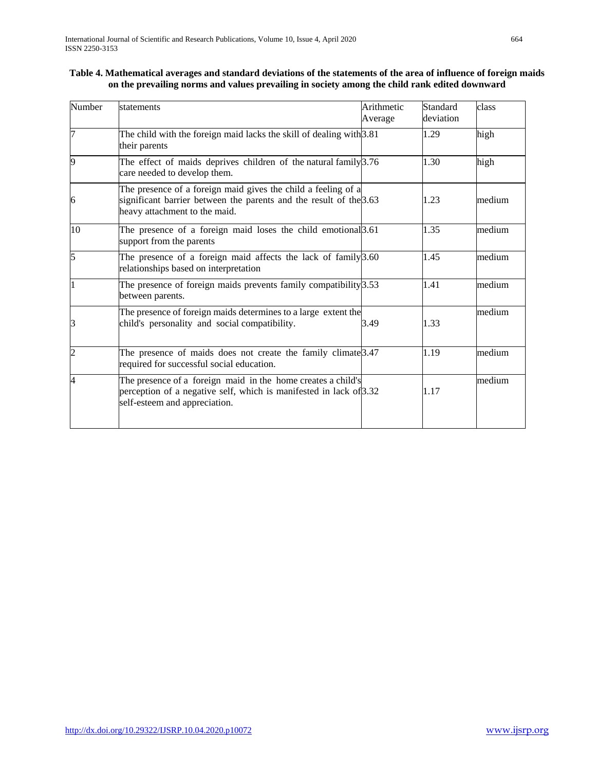# **Table 4. Mathematical averages and standard deviations of the statements of the area of influence of foreign maids on the prevailing norms and values prevailing in society among the child rank edited downward**

| Number         | statements                                                                                                                                                           | Arithmetic<br>Average | Standard<br>deviation | class  |
|----------------|----------------------------------------------------------------------------------------------------------------------------------------------------------------------|-----------------------|-----------------------|--------|
| 7              | The child with the foreign maid lacks the skill of dealing with $3.81$<br>their parents                                                                              |                       | 1.29                  | high   |
| 9              | The effect of maids deprives children of the natural family $3.76$<br>care needed to develop them.                                                                   |                       | 1.30                  | high   |
| 6              | The presence of a foreign maid gives the child a feeling of a<br>significant barrier between the parents and the result of the 3.63<br>heavy attachment to the maid. |                       | 1.23                  | medium |
| 10             | The presence of a foreign maid loses the child emotional <sup>3.61</sup><br>support from the parents                                                                 |                       | 1.35                  | medium |
| 5              | The presence of a foreign maid affects the lack of family $\beta$ .60<br>relationships based on interpretation                                                       |                       | 1.45                  | medium |
|                | The presence of foreign maids prevents family compatibility $3.53$<br>between parents.                                                                               |                       | 1.41                  | medium |
| З              | The presence of foreign maids determines to a large extent the<br>child's personality and social compatibility.                                                      | 3.49                  | 1.33                  | medium |
| $\overline{c}$ | The presence of maids does not create the family climate $\beta$ .47<br>required for successful social education.                                                    |                       | 1.19                  | medium |
| 4              | The presence of a foreign maid in the home creates a child's<br>perception of a negative self, which is manifested in lack of 3.32<br>self-esteem and appreciation.  |                       | 1.17                  | medium |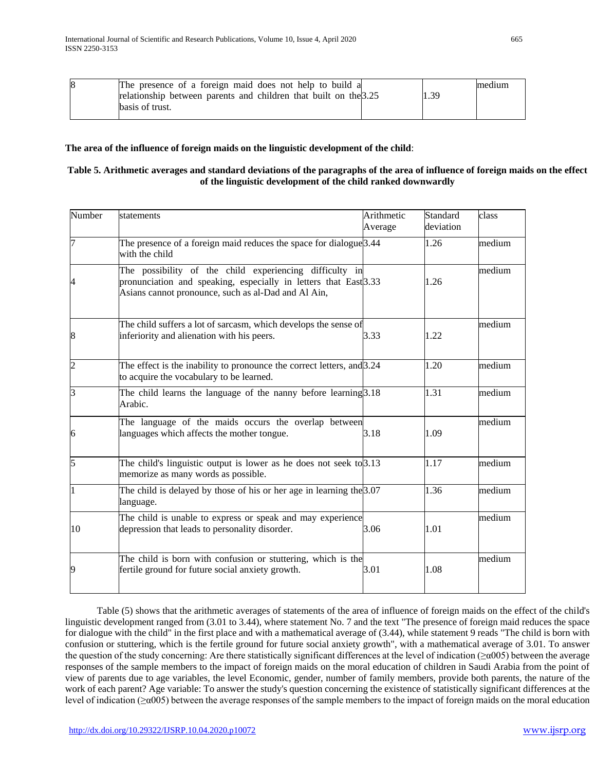| 8 | The presence of a foreign maid does not help to build a          |      | medium |
|---|------------------------------------------------------------------|------|--------|
|   | relationship between parents and children that built on the 3.25 | 1.39 |        |
|   | basis of trust.                                                  |      |        |

# **The area of the influence of foreign maids on the linguistic development of the child**:

# **Table 5. Arithmetic averages and standard deviations of the paragraphs of the area of influence of foreign maids on the effect of the linguistic development of the child ranked downwardly**

| Number         | statements                                                                                                                                                                         | Arithmetic<br>Average | Standard<br>deviation | class  |
|----------------|------------------------------------------------------------------------------------------------------------------------------------------------------------------------------------|-----------------------|-----------------------|--------|
|                | The presence of a foreign maid reduces the space for dialogue <sup>3.44</sup><br>with the child                                                                                    |                       | 1.26                  | medium |
|                | The possibility of the child experiencing difficulty in<br>pronunciation and speaking, especially in letters that East 3.33<br>Asians cannot pronounce, such as al-Dad and Al Ain, |                       | 1.26                  | medium |
| 8              | The child suffers a lot of sarcasm, which develops the sense of<br>inferiority and alienation with his peers.                                                                      | 3.33                  | 1.22                  | medium |
| $\overline{2}$ | The effect is the inability to pronounce the correct letters, and 3.24<br>to acquire the vocabulary to be learned.                                                                 |                       | 1.20                  | medium |
| 3              | The child learns the language of the nanny before learning $3.18$<br>Arabic.                                                                                                       |                       | 1.31                  | medium |
| 6              | The language of the maids occurs the overlap between<br>languages which affects the mother tongue.                                                                                 | 3.18                  | 1.09                  | medium |
| 5              | The child's linguistic output is lower as he does not seek to 3.13<br>memorize as many words as possible.                                                                          |                       | 1.17                  | medium |
|                | The child is delayed by those of his or her age in learning the $3.07$<br>language.                                                                                                |                       | 1.36                  | medium |
| 10             | The child is unable to express or speak and may experience<br>depression that leads to personality disorder.                                                                       | 3.06                  | 1.01                  | medium |
| 9              | The child is born with confusion or stuttering, which is the<br>fertile ground for future social anxiety growth.                                                                   | 3.01                  | 1.08                  | medium |

 Table (5) shows that the arithmetic averages of statements of the area of influence of foreign maids on the effect of the child's linguistic development ranged from (3.01 to 3.44), where statement No. 7 and the text "The presence of foreign maid reduces the space for dialogue with the child" in the first place and with a mathematical average of (3.44), while statement 9 reads "The child is born with confusion or stuttering, which is the fertile ground for future social anxiety growth", with a mathematical average of 3.01. To answer the question of the study concerning: Are there statistically significant differences at the level of indication ( $\geq \alpha$ 005) between the average responses of the sample members to the impact of foreign maids on the moral education of children in Saudi Arabia from the point of view of parents due to age variables, the level Economic, gender, number of family members, provide both parents, the nature of the work of each parent? Age variable: To answer the study's question concerning the existence of statistically significant differences at the level of indication ( $\geq \alpha$ 005) between the average responses of the sample members to the impact of foreign maids on the moral education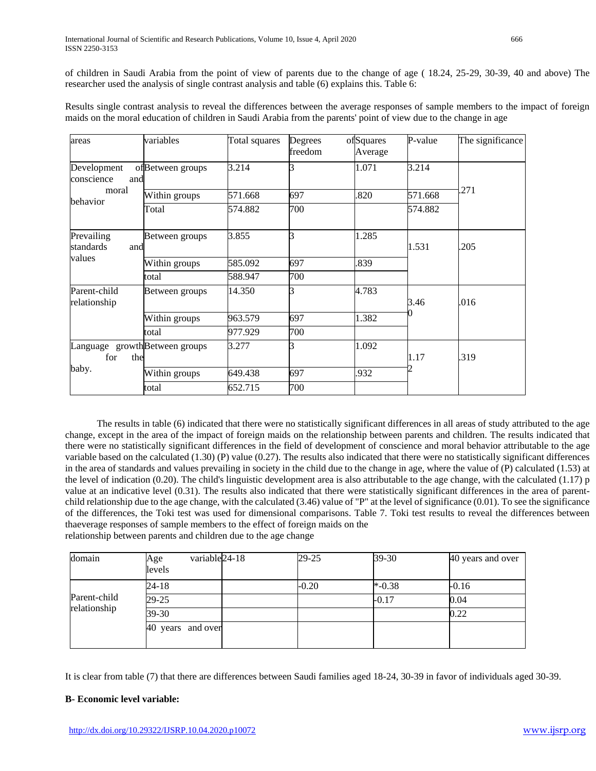of children in Saudi Arabia from the point of view of parents due to the change of age ( 18.24, 25-29, 30-39, 40 and above) The researcher used the analysis of single contrast analysis and table (6) explains this. Table 6:

Results single contrast analysis to reveal the differences between the average responses of sample members to the impact of foreign maids on the moral education of children in Saudi Arabia from the parents' point of view due to the change in age

| areas                                       | variables        | Total squares | Degrees<br>freedom | ofSquares<br>Average | P-value | The significance |
|---------------------------------------------|------------------|---------------|--------------------|----------------------|---------|------------------|
| Development<br>conscience<br>and            | ofBetween groups | 3.214         |                    | 1.071                | 3.214   |                  |
| moral                                       | Within groups    | 571.668       | 697                | .820                 | 571.668 | .271             |
| behavior                                    | Total            | 574.882       | 700                |                      | 574.882 |                  |
| Prevailing<br>standards<br>and              | Between groups   | 3.855         | R                  | 1.285                | 1.531   | .205             |
| values                                      | Within groups    | 585.092       | 697                | .839                 |         |                  |
|                                             | total            | 588.947       | 700                |                      |         |                  |
| Parent-child<br>relationship                | Between groups   | 14.350        |                    | 4.783                | 3.46    | .016             |
|                                             | Within groups    | 963.579       | 697                | 1.382                |         |                  |
|                                             | total            | 977.929       | 700                |                      |         |                  |
| Language growthBetween groups<br>for<br>the |                  | 3.277         |                    | 1.092                | 1.17    | .319             |
| baby.                                       | Within groups    | 649.438       | 697                | .932                 |         |                  |
|                                             | total            | 652.715       | 700                |                      |         |                  |

 The results in table (6) indicated that there were no statistically significant differences in all areas of study attributed to the age change, except in the area of the impact of foreign maids on the relationship between parents and children. The results indicated that there were no statistically significant differences in the field of development of conscience and moral behavior attributable to the age variable based on the calculated (1.30) (P) value (0.27). The results also indicated that there were no statistically significant differences in the area of standards and values prevailing in society in the child due to the change in age, where the value of (P) calculated (1.53) at the level of indication (0.20). The child's linguistic development area is also attributable to the age change, with the calculated (1.17) p value at an indicative level (0.31). The results also indicated that there were statistically significant differences in the area of parentchild relationship due to the age change, with the calculated (3.46) value of "P" at the level of significance (0.01). To see the significance of the differences, the Toki test was used for dimensional comparisons. Table 7. Toki test results to reveal the differences between thaeverage responses of sample members to the effect of foreign maids on the relationship between parents and children due to the age change

| domain       | variable <sub>24-18</sub><br>Age | $29 - 25$ | $39 - 30$ | 40 years and over |
|--------------|----------------------------------|-----------|-----------|-------------------|
|              | levels                           |           |           |                   |
|              | 24-18                            | $-0.20$   | $*$ -0.38 | $-0.16$           |
| Parent-child | 29-25                            |           | $-0.17$   | 0.04              |
| relationship | 39-30                            |           |           | 0.22              |
|              | 40 years and over                |           |           |                   |
|              |                                  |           |           |                   |

It is clear from table (7) that there are differences between Saudi families aged 18-24, 30-39 in favor of individuals aged 30-39.

# **B- Economic level variable:**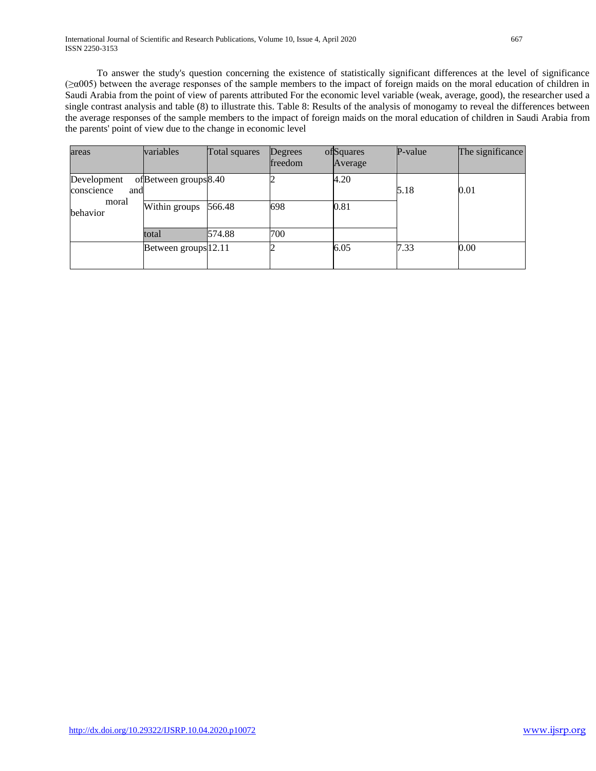To answer the study's question concerning the existence of statistically significant differences at the level of significance (≥α005) between the average responses of the sample members to the impact of foreign maids on the moral education of children in Saudi Arabia from the point of view of parents attributed For the economic level variable (weak, average, good), the researcher used a single contrast analysis and table (8) to illustrate this. Table 8: Results of the analysis of monogamy to reveal the differences between the average responses of the sample members to the impact of foreign maids on the moral education of children in Saudi Arabia from the parents' point of view due to the change in economic level

| areas             | variables             | Total squares | <b>Degrees</b><br>freedom | ofSquares<br>Average | P-value | The significance |
|-------------------|-----------------------|---------------|---------------------------|----------------------|---------|------------------|
| Development       | ofBetween groups 8.40 |               |                           | 4.20                 |         |                  |
| conscience<br>and |                       |               |                           |                      | 5.18    | $\rm 0.01$       |
| moral<br>behavior | Within groups         | 566.48        | 698                       | 0.81                 |         |                  |
|                   | total                 | 574.88        | 700                       |                      |         |                  |
|                   | Between groups 12.11  |               |                           | 6.05                 | 7.33    | 0.00             |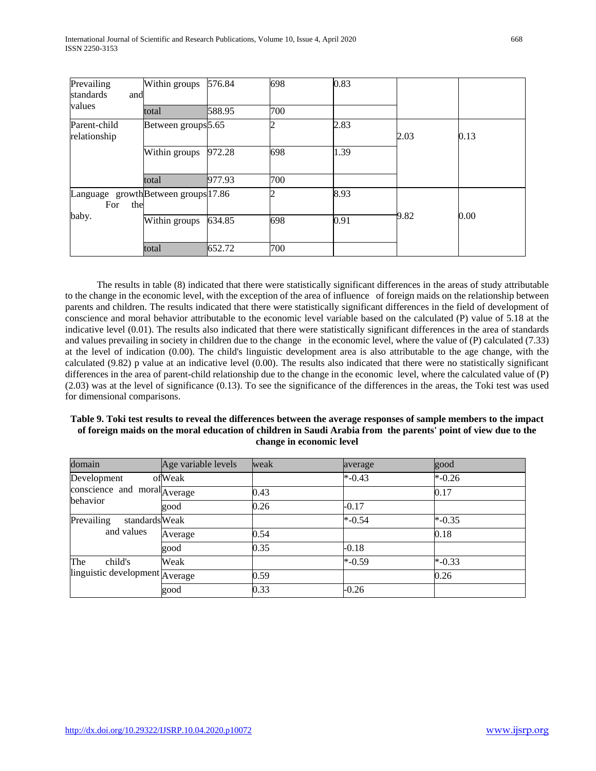| Prevailing                                        | Within groups                  | 576.84 | 698 | 0.83 |      |      |
|---------------------------------------------------|--------------------------------|--------|-----|------|------|------|
| standards<br>and                                  |                                |        |     |      |      |      |
| values                                            | total                          | 588.95 | 700 |      |      |      |
| Parent-child<br>relationship                      | Between groups <sup>5.65</sup> |        |     | 2.83 | 2.03 | 0.13 |
|                                                   | Within groups                  | 972.28 | 698 | 1.39 |      |      |
|                                                   | total                          | 977.93 | 700 |      |      |      |
| Language growthBetween groups 17.86<br>the<br>For |                                |        |     | 8.93 |      |      |
| baby.                                             | Within groups                  | 634.85 | 698 | 0.91 | 9.82 | 0.00 |
|                                                   | total                          | 652.72 | 700 |      |      |      |

 The results in table (8) indicated that there were statistically significant differences in the areas of study attributable to the change in the economic level, with the exception of the area of influence of foreign maids on the relationship between parents and children. The results indicated that there were statistically significant differences in the field of development of conscience and moral behavior attributable to the economic level variable based on the calculated (P) value of 5.18 at the indicative level (0.01). The results also indicated that there were statistically significant differences in the area of standards and values prevailing in society in children due to the change in the economic level, where the value of (P) calculated (7.33) at the level of indication (0.00). The child's linguistic development area is also attributable to the age change, with the calculated (9.82) p value at an indicative level (0.00). The results also indicated that there were no statistically significant differences in the area of parent-child relationship due to the change in the economic level, where the calculated value of (P) (2.03) was at the level of significance (0.13). To see the significance of the differences in the areas, the Toki test was used for dimensional comparisons.

### **Table 9. Toki test results to reveal the differences between the average responses of sample members to the impact of foreign maids on the moral education of children in Saudi Arabia from the parents' point of view due to the change in economic level**

| domain                         | Age variable levels | weak | average   | good      |
|--------------------------------|---------------------|------|-----------|-----------|
| Development                    | ofWeak              |      | $* -0.43$ | $* -0.26$ |
| conscience and moral Average   |                     | 0.43 |           | 0.17      |
| behavior                       | good                | 0.26 | $-0.17$   |           |
| Prevailing<br>standardsWeak    |                     |      | $* -0.54$ | $*$ -0.35 |
| and values                     | Average             | 0.54 |           | 0.18      |
|                                | good                | 0.35 | $-0.18$   |           |
| The<br>child's                 | Weak                |      | $* -0.59$ | $*$ -0.33 |
| linguistic development Average |                     | 0.59 |           | 0.26      |
|                                | good                | 0.33 | $-0.26$   |           |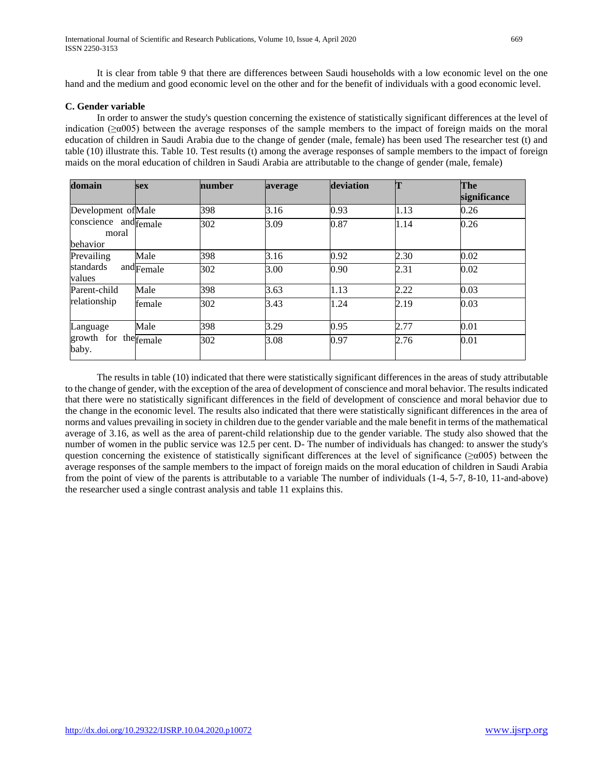It is clear from table 9 that there are differences between Saudi households with a low economic level on the one hand and the medium and good economic level on the other and for the benefit of individuals with a good economic level.

### **C. Gender variable**

 In order to answer the study's question concerning the existence of statistically significant differences at the level of indication ( $\geq \alpha$ 005) between the average responses of the sample members to the impact of foreign maids on the moral education of children in Saudi Arabia due to the change of gender (male, female) has been used The researcher test (t) and table (10) illustrate this. Table 10. Test results (t) among the average responses of sample members to the impact of foreign maids on the moral education of children in Saudi Arabia are attributable to the change of gender (male, female)

| domain                                     | <b>sex</b>                       | number | average | deviation | m    | The<br>significance |
|--------------------------------------------|----------------------------------|--------|---------|-----------|------|---------------------|
| Development of Male                        |                                  | 398    | 3.16    | 0.93      | 1.13 | 0.26                |
| conscience and female<br>moral<br>behavior |                                  | 302    | 3.09    | 0.87      | 1.14 | 0.26                |
| Prevailing                                 | Male                             | 398    | 3.16    | 0.92      | 2.30 | 0.02                |
| standards<br>values                        | $and$ $\overline{\text{Female}}$ | 302    | 3.00    | 0.90      | 2.31 | 0.02                |
| Parent-child                               | Male                             | 398    | 3.63    | 1.13      | 2.22 | 0.03                |
| relationship                               | female                           | 302    | 3.43    | 1.24      | 2.19 | 0.03                |
| Language<br>growth for the female<br>baby. | Male                             | 398    | 3.29    | 0.95      | 2.77 | 0.01                |
|                                            |                                  | 302    | 3.08    | 0.97      | 2.76 | 0.01                |

 The results in table (10) indicated that there were statistically significant differences in the areas of study attributable to the change of gender, with the exception of the area of development of conscience and moral behavior. The results indicated that there were no statistically significant differences in the field of development of conscience and moral behavior due to the change in the economic level. The results also indicated that there were statistically significant differences in the area of norms and values prevailing in society in children due to the gender variable and the male benefit in terms of the mathematical average of 3.16, as well as the area of parent-child relationship due to the gender variable. The study also showed that the number of women in the public service was 12.5 per cent. D- The number of individuals has changed: to answer the study's question concerning the existence of statistically significant differences at the level of significance ( $\geq \alpha$ 005) between the average responses of the sample members to the impact of foreign maids on the moral education of children in Saudi Arabia from the point of view of the parents is attributable to a variable The number of individuals (1-4, 5-7, 8-10, 11-and-above) the researcher used a single contrast analysis and table 11 explains this.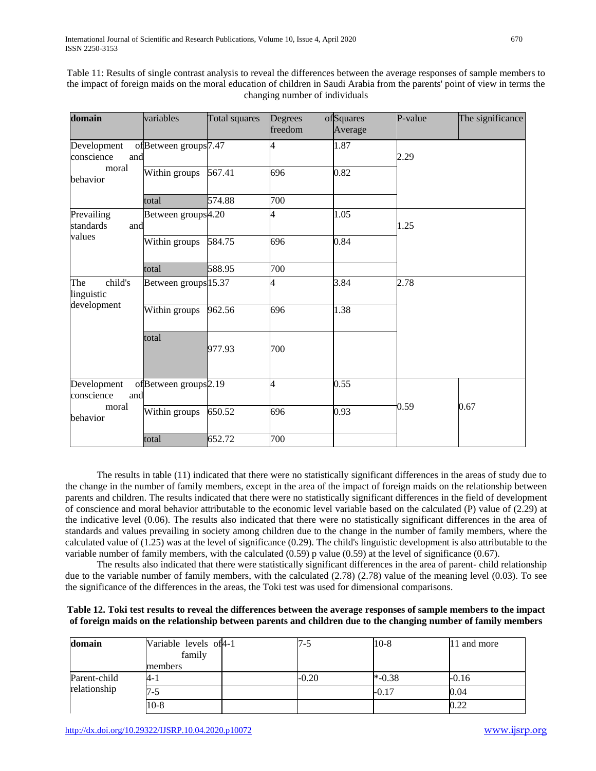| domain                           | variables                        | Total squares | Degrees<br>freedom | ofSquares<br>Average | P-value | The significance |
|----------------------------------|----------------------------------|---------------|--------------------|----------------------|---------|------------------|
| Development<br>conscience<br>and | ofBetween groups7.47             |               |                    | 1.87                 | 2.29    |                  |
| moral<br>behavior                | Within groups                    | 567.41        | 696                | 0.82                 |         |                  |
|                                  | total                            | 574.88        | 700                |                      |         |                  |
| Prevailing<br>standards<br>and   | Between groups <sup>4.20</sup>   |               |                    | 1.05                 | 1.25    |                  |
| values                           | Within groups                    | 584.75        | 696                | 0.84                 |         |                  |
|                                  | total                            | 588.95        | 700                |                      |         |                  |
| child's<br>The<br>linguistic     | Between groups 15.37             |               | 4                  | 3.84                 | 2.78    |                  |
| development                      | Within groups                    | 962.56        | 696                | 1.38                 |         |                  |
|                                  | total                            | 977.93        | 700                |                      |         |                  |
| Development<br>conscience<br>and | ofBetween groups <sup>2.19</sup> |               | $\overline{4}$     | 0.55                 |         |                  |
| moral<br>behavior                | Within groups                    | 650.52        | 696                | 0.93                 | 0.59    | 0.67             |
|                                  | total                            | 652.72        | 700                |                      |         |                  |

Table 11: Results of single contrast analysis to reveal the differences between the average responses of sample members to the impact of foreign maids on the moral education of children in Saudi Arabia from the parents' point of view in terms the changing number of individuals

 The results in table (11) indicated that there were no statistically significant differences in the areas of study due to the change in the number of family members, except in the area of the impact of foreign maids on the relationship between parents and children. The results indicated that there were no statistically significant differences in the field of development of conscience and moral behavior attributable to the economic level variable based on the calculated (P) value of (2.29) at the indicative level (0.06). The results also indicated that there were no statistically significant differences in the area of standards and values prevailing in society among children due to the change in the number of family members, where the calculated value of (1.25) was at the level of significance (0.29). The child's linguistic development is also attributable to the variable number of family members, with the calculated (0.59) p value (0.59) at the level of significance (0.67).

 The results also indicated that there were statistically significant differences in the area of parent- child relationship due to the variable number of family members, with the calculated  $(2.78)$  (2.78) value of the meaning level (0.03). To see the significance of the differences in the areas, the Toki test was used for dimensional comparisons.

# **Table 12. Toki test results to reveal the differences between the average responses of sample members to the impact of foreign maids on the relationship between parents and children due to the changing number of family members**

| domain                       | Variable levels of 4-1<br>family | $7 - 5$ | $10-8$    | 11 and more |
|------------------------------|----------------------------------|---------|-----------|-------------|
|                              | members                          |         |           |             |
| Parent-child<br>relationship | $4-1$                            | $-0.20$ | $*$ -0.38 | $-0.16$     |
|                              | 7-5                              |         | $-0.17$   | 0.04        |
|                              | $10-8$                           |         |           | 0.22        |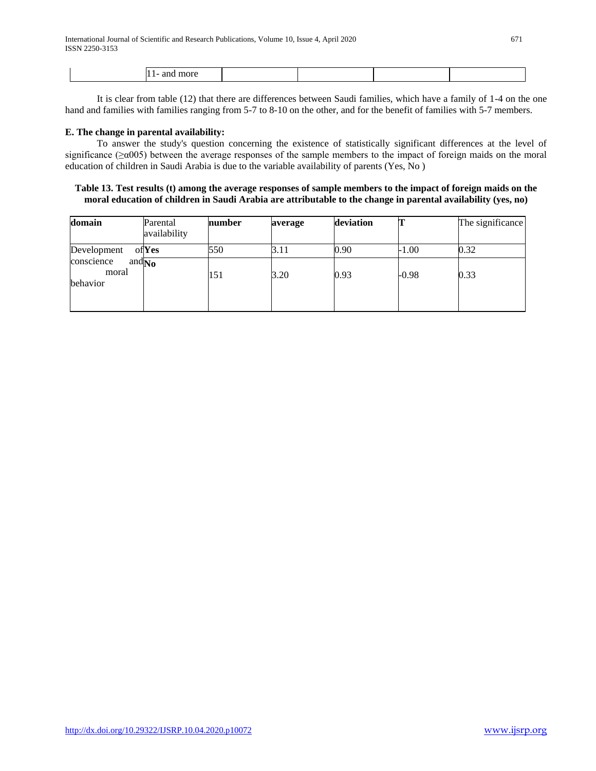| чюте<br>иш |  |  |  |
|------------|--|--|--|
|            |  |  |  |
|            |  |  |  |

 It is clear from table (12) that there are differences between Saudi families, which have a family of 1-4 on the one hand and families with families ranging from 5-7 to 8-10 on the other, and for the benefit of families with 5-7 members.

### **E. The change in parental availability:**

 To answer the study's question concerning the existence of statistically significant differences at the level of significance (≥α005) between the average responses of the sample members to the impact of foreign maids on the moral education of children in Saudi Arabia is due to the variable availability of parents (Yes, No )

### **Table 13. Test results (t) among the average responses of sample members to the impact of foreign maids on the moral education of children in Saudi Arabia are attributable to the change in parental availability (yes, no)**

| domain                                             | Parental<br>availability | number | average | deviation |         | The significance |
|----------------------------------------------------|--------------------------|--------|---------|-----------|---------|------------------|
| Development                                        | ofYes                    | 550    | 3.11    | 0.90      | $-1.00$ | 0.32             |
| conscience<br>and $_{\rm No}$<br>moral<br>behavior |                          | 151    | 3.20    | 0.93      | $-0.98$ | 0.33             |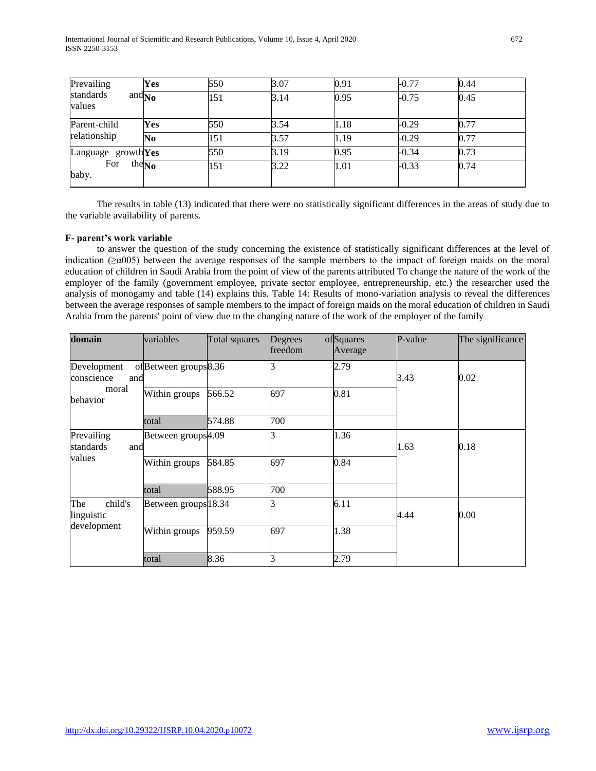| Prevailing<br>standards<br>and $_{\rm No}$<br>values | Yes | 550 | 3.07 | 0.91 | $-0.77$ | 0.44 |
|------------------------------------------------------|-----|-----|------|------|---------|------|
|                                                      |     | 151 | 3.14 | 0.95 | $-0.75$ | 0.45 |
| Parent-child                                         | Yes | 550 | 3.54 | 1.18 | $-0.29$ | 0.77 |
| relationship                                         | No  | 151 | 3.57 | 1.19 | $-0.29$ | 0.77 |
| Language $growth$ Yes                                |     | 550 | 3.19 | 0.95 | $-0.34$ | 0.73 |
| For<br>the $\overline{\text{No}}$<br>baby.           |     | 151 | 3.22 | 1.01 | $-0.33$ | 0.74 |

 The results in table (13) indicated that there were no statistically significant differences in the areas of study due to the variable availability of parents.

# **F- parent's work variable**

 to answer the question of the study concerning the existence of statistically significant differences at the level of indication ( $\geq \alpha$ 005) between the average responses of the sample members to the impact of foreign maids on the moral education of children in Saudi Arabia from the point of view of the parents attributed To change the nature of the work of the employer of the family (government employee, private sector employee, entrepreneurship, etc.) the researcher used the analysis of monogamy and table (14) explains this. Table 14: Results of mono-variation analysis to reveal the differences between the average responses of sample members to the impact of foreign maids on the moral education of children in Saudi Arabia from the parents' point of view due to the changing nature of the work of the employer of the family

| domain                                      | variables                        | Total squares | Degrees<br>freedom | ofSquares<br>Average | P-value | The significance |
|---------------------------------------------|----------------------------------|---------------|--------------------|----------------------|---------|------------------|
| Development<br>conscience<br>and            | ofBetween groups <sup>8.36</sup> |               |                    | 2.79                 | 3.43    | 0.02             |
| moral<br>behavior                           | Within groups                    | 566.52        | 697                | 0.81                 |         |                  |
|                                             | total                            | 574.88        | 700                |                      |         |                  |
| Prevailing<br>standards<br>and<br>values    | Between groups <sup>4.09</sup>   |               |                    | 1.36                 | 1.63    | 0.18             |
|                                             | Within groups                    | 584.85        | 697                | 0.84                 |         |                  |
|                                             | total                            | 588.95        | 700                |                      |         |                  |
| The<br>child's<br>linguistic<br>development | Between groups 18.34             |               |                    | 6.11                 | 4.44    | 0.00             |
|                                             | Within groups                    | 959.59        | 697                | 1.38                 |         |                  |
|                                             | total                            | 8.36          | R                  | 2.79                 |         |                  |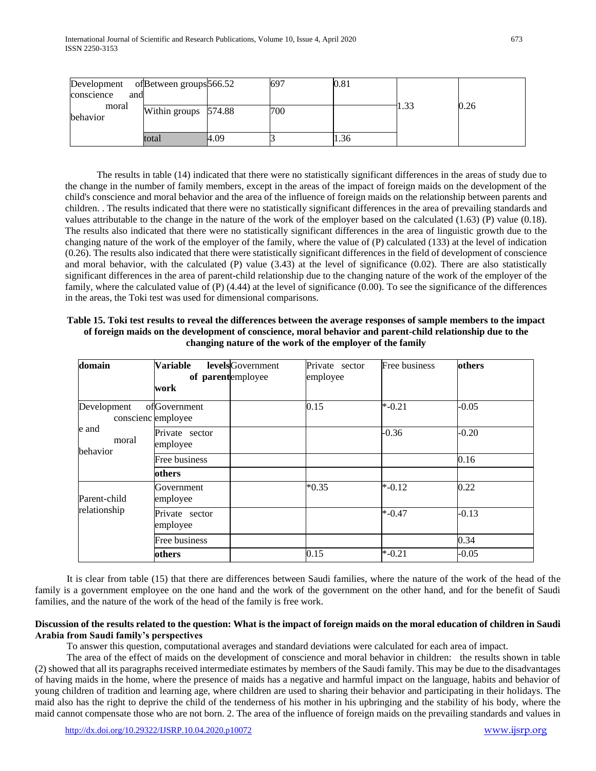| Development of Between groups 566.52 |                      |      | 697 | $\rm 0.81$ |      |      |
|--------------------------------------|----------------------|------|-----|------------|------|------|
| conscience<br>and                    |                      |      |     |            |      |      |
| moral<br>behavior                    | Within groups 574.88 |      | 700 |            | 1.33 | 0.26 |
|                                      | total                | 4.09 |     | 1.36       |      |      |

 The results in table (14) indicated that there were no statistically significant differences in the areas of study due to the change in the number of family members, except in the areas of the impact of foreign maids on the development of the child's conscience and moral behavior and the area of the influence of foreign maids on the relationship between parents and children. . The results indicated that there were no statistically significant differences in the area of prevailing standards and values attributable to the change in the nature of the work of the employer based on the calculated (1.63) (P) value (0.18). The results also indicated that there were no statistically significant differences in the area of linguistic growth due to the changing nature of the work of the employer of the family, where the value of (P) calculated (133) at the level of indication (0.26). The results also indicated that there were statistically significant differences in the field of development of conscience and moral behavior, with the calculated  $(P)$  value  $(3.43)$  at the level of significance  $(0.02)$ . There are also statistically significant differences in the area of parent-child relationship due to the changing nature of the work of the employer of the family, where the calculated value of (P) (4.44) at the level of significance (0.00). To see the significance of the differences in the areas, the Toki test was used for dimensional comparisons.

| Table 15. Toki test results to reveal the differences between the average responses of sample members to the impact |
|---------------------------------------------------------------------------------------------------------------------|
| of foreign maids on the development of conscience, moral behavior and parent-child relationship due to the          |
| changing nature of the work of the employer of the family                                                           |

| domain                            | <b>Variable</b><br>of parentemployee | <b>levels</b> Government | Private sector<br>employee | Free business | others  |
|-----------------------------------|--------------------------------------|--------------------------|----------------------------|---------------|---------|
|                                   | work                                 |                          |                            |               |         |
| Development<br>conscienc employee | ofGovernment                         |                          | 0.15                       | $* -0.21$     | $-0.05$ |
| le and<br>moral<br>behavior       | Private sector<br>employee           |                          |                            | $-0.36$       | $-0.20$ |
|                                   | Free business                        |                          |                            |               | 0.16    |
|                                   | others                               |                          |                            |               |         |
| Parent-child<br>relationship      | Government<br>employee               |                          | $*0.35$                    | $* -0.12$     | 0.22    |
|                                   | Private sector<br>employee           |                          |                            | $* -0.47$     | $-0.13$ |
|                                   | Free business                        |                          |                            |               | 0.34    |
|                                   | others                               |                          | 0.15                       | $* -0.21$     | $-0.05$ |

 It is clear from table (15) that there are differences between Saudi families, where the nature of the work of the head of the family is a government employee on the one hand and the work of the government on the other hand, and for the benefit of Saudi families, and the nature of the work of the head of the family is free work.

### **Discussion of the results related to the question: What is the impact of foreign maids on the moral education of children in Saudi Arabia from Saudi family's perspectives**

To answer this question, computational averages and standard deviations were calculated for each area of impact.

 The area of the effect of maids on the development of conscience and moral behavior in children: the results shown in table (2) showed that all its paragraphs received intermediate estimates by members of the Saudi family. This may be due to the disadvantages of having maids in the home, where the presence of maids has a negative and harmful impact on the language, habits and behavior of young children of tradition and learning age, where children are used to sharing their behavior and participating in their holidays. The maid also has the right to deprive the child of the tenderness of his mother in his upbringing and the stability of his body, where the maid cannot compensate those who are not born. 2. The area of the influence of foreign maids on the prevailing standards and values in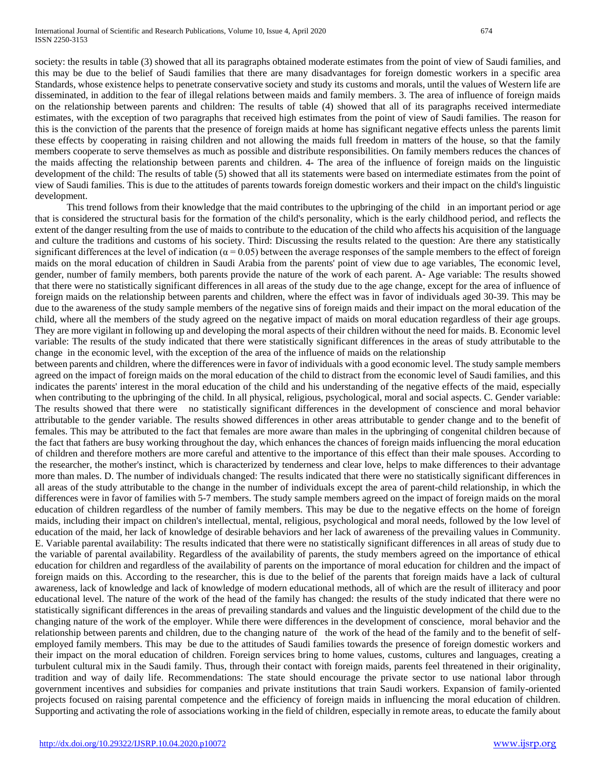society: the results in table (3) showed that all its paragraphs obtained moderate estimates from the point of view of Saudi families, and this may be due to the belief of Saudi families that there are many disadvantages for foreign domestic workers in a specific area Standards, whose existence helps to penetrate conservative society and study its customs and morals, until the values of Western life are disseminated, in addition to the fear of illegal relations between maids and family members. 3. The area of influence of foreign maids on the relationship between parents and children: The results of table (4) showed that all of its paragraphs received intermediate estimates, with the exception of two paragraphs that received high estimates from the point of view of Saudi families. The reason for this is the conviction of the parents that the presence of foreign maids at home has significant negative effects unless the parents limit these effects by cooperating in raising children and not allowing the maids full freedom in matters of the house, so that the family members cooperate to serve themselves as much as possible and distribute responsibilities. On family members reduces the chances of the maids affecting the relationship between parents and children. 4- The area of the influence of foreign maids on the linguistic development of the child: The results of table (5) showed that all its statements were based on intermediate estimates from the point of view of Saudi families. This is due to the attitudes of parents towards foreign domestic workers and their impact on the child's linguistic development.

 This trend follows from their knowledge that the maid contributes to the upbringing of the child in an important period or age that is considered the structural basis for the formation of the child's personality, which is the early childhood period, and reflects the extent of the danger resulting from the use of maids to contribute to the education of the child who affects his acquisition of the language and culture the traditions and customs of his society. Third: Discussing the results related to the question: Are there any statistically significant differences at the level of indication ( $\alpha$  = 0.05) between the average responses of the sample members to the effect of foreign maids on the moral education of children in Saudi Arabia from the parents' point of view due to age variables, The economic level, gender, number of family members, both parents provide the nature of the work of each parent. A- Age variable: The results showed that there were no statistically significant differences in all areas of the study due to the age change, except for the area of influence of foreign maids on the relationship between parents and children, where the effect was in favor of individuals aged 30-39. This may be due to the awareness of the study sample members of the negative sins of foreign maids and their impact on the moral education of the child, where all the members of the study agreed on the negative impact of maids on moral education regardless of their age groups. They are more vigilant in following up and developing the moral aspects of their children without the need for maids. B. Economic level variable: The results of the study indicated that there were statistically significant differences in the areas of study attributable to the change in the economic level, with the exception of the area of the influence of maids on the relationship

between parents and children, where the differences were in favor of individuals with a good economic level. The study sample members agreed on the impact of foreign maids on the moral education of the child to distract from the economic level of Saudi families, and this indicates the parents' interest in the moral education of the child and his understanding of the negative effects of the maid, especially when contributing to the upbringing of the child. In all physical, religious, psychological, moral and social aspects. C. Gender variable: The results showed that there were no statistically significant differences in the development of conscience and moral behavior attributable to the gender variable. The results showed differences in other areas attributable to gender change and to the benefit of females. This may be attributed to the fact that females are more aware than males in the upbringing of congenital children because of the fact that fathers are busy working throughout the day, which enhances the chances of foreign maids influencing the moral education of children and therefore mothers are more careful and attentive to the importance of this effect than their male spouses. According to the researcher, the mother's instinct, which is characterized by tenderness and clear love, helps to make differences to their advantage more than males. D. The number of individuals changed: The results indicated that there were no statistically significant differences in all areas of the study attributable to the change in the number of individuals except the area of parent-child relationship, in which the differences were in favor of families with 5-7 members. The study sample members agreed on the impact of foreign maids on the moral education of children regardless of the number of family members. This may be due to the negative effects on the home of foreign maids, including their impact on children's intellectual, mental, religious, psychological and moral needs, followed by the low level of education of the maid, her lack of knowledge of desirable behaviors and her lack of awareness of the prevailing values in Community. E. Variable parental availability: The results indicated that there were no statistically significant differences in all areas of study due to the variable of parental availability. Regardless of the availability of parents, the study members agreed on the importance of ethical education for children and regardless of the availability of parents on the importance of moral education for children and the impact of foreign maids on this. According to the researcher, this is due to the belief of the parents that foreign maids have a lack of cultural awareness, lack of knowledge and lack of knowledge of modern educational methods, all of which are the result of illiteracy and poor educational level. The nature of the work of the head of the family has changed: the results of the study indicated that there were no statistically significant differences in the areas of prevailing standards and values and the linguistic development of the child due to the changing nature of the work of the employer. While there were differences in the development of conscience, moral behavior and the relationship between parents and children, due to the changing nature of the work of the head of the family and to the benefit of selfemployed family members. This may be due to the attitudes of Saudi families towards the presence of foreign domestic workers and their impact on the moral education of children. Foreign services bring to home values, customs, cultures and languages, creating a turbulent cultural mix in the Saudi family. Thus, through their contact with foreign maids, parents feel threatened in their originality, tradition and way of daily life. Recommendations: The state should encourage the private sector to use national labor through government incentives and subsidies for companies and private institutions that train Saudi workers. Expansion of family-oriented projects focused on raising parental competence and the efficiency of foreign maids in influencing the moral education of children. Supporting and activating the role of associations working in the field of children, especially in remote areas, to educate the family about